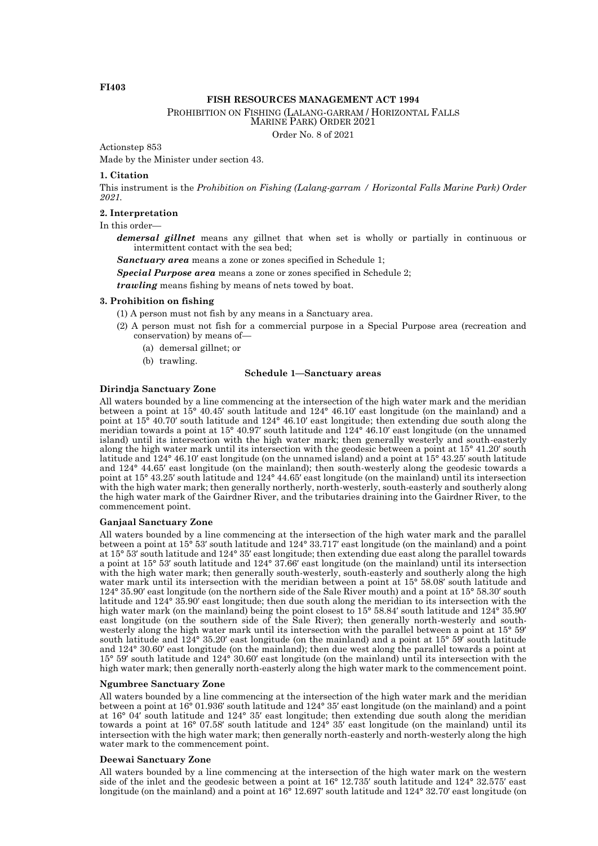# **FISH RESOURCES MANAGEMENT ACT 1994**

PROHIBITION ON FISHING (LALANG-GARRAM / HORIZONTAL FALLS

MARINE PARK) ORDER 2021

Order No. 8 of 2021

Actionstep 853

Made by the Minister under section 43.

## **1. Citation**

This instrument is the *Prohibition on Fishing (Lalang-garram / Horizontal Falls Marine Park) Order 2021.*

# **2. Interpretation**

In this order—

*demersal gillnet* means any gillnet that when set is wholly or partially in continuous or intermittent contact with the sea bed;

*Sanctuary area* means a zone or zones specified in Schedule 1;

*Special Purpose area* means a zone or zones specified in Schedule 2;

*trawling* means fishing by means of nets towed by boat.

# **3. Prohibition on fishing**

- (1) A person must not fish by any means in a Sanctuary area.
- (2) A person must not fish for a commercial purpose in a Special Purpose area (recreation and conservation) by means of—
	- (a) demersal gillnet; or
	- (b) trawling.

#### **Schedule 1—Sanctuary areas**

# **Dirindja Sanctuary Zone**

All waters bounded by a line commencing at the intersection of the high water mark and the meridian between a point at 15° 40.45′ south latitude and 124° 46.10′ east longitude (on the mainland) and a point at 15° 40.70′ south latitude and 124° 46.10′ east longitude; then extending due south along the meridian towards a point at 15° 40.97′ south latitude and 124° 46.10′ east longitude (on the unnamed island) until its intersection with the high water mark; then generally westerly and south-easterly along the high water mark until its intersection with the geodesic between a point at 15° 41.20′ south latitude and 124° 46.10′ east longitude (on the unnamed island) and a point at 15° 43.25′ south latitude and 124° 44.65′ east longitude (on the mainland); then south-westerly along the geodesic towards a point at 15° 43.25′ south latitude and 124° 44.65′ east longitude (on the mainland) until its intersection with the high water mark; then generally northerly, north-westerly, south-easterly and southerly along the high water mark of the Gairdner River, and the tributaries draining into the Gairdner River, to the commencement point.

# **Ganjaal Sanctuary Zone**

All waters bounded by a line commencing at the intersection of the high water mark and the parallel between a point at 15° 53′ south latitude and 124° 33.717′ east longitude (on the mainland) and a point at 15° 53′ south latitude and 124° 35′ east longitude; then extending due east along the parallel towards a point at 15° 53′ south latitude and 124° 37.66′ east longitude (on the mainland) until its intersection with the high water mark; then generally south-westerly, south-easterly and southerly along the high water mark until its intersection with the meridian between a point at 15° 58.08′ south latitude and 124° 35.90′ east longitude (on the northern side of the Sale River mouth) and a point at 15° 58.30′ south latitude and 124° 35.90′ east longitude; then due south along the meridian to its intersection with the high water mark (on the mainland) being the point closest to 15° 58.84′ south latitude and 124° 35.90′ east longitude (on the southern side of the Sale River); then generally north-westerly and southwesterly along the high water mark until its intersection with the parallel between a point at 15° 59′ south latitude and 124° 35.20′ east longitude (on the mainland) and a point at 15° 59′ south latitude and 124° 30.60′ east longitude (on the mainland); then due west along the parallel towards a point at 15° 59′ south latitude and 124° 30.60′ east longitude (on the mainland) until its intersection with the high water mark; then generally north-easterly along the high water mark to the commencement point.

#### **Ngumbree Sanctuary Zone**

All waters bounded by a line commencing at the intersection of the high water mark and the meridian between a point at 16° 01.936′ south latitude and 124° 35′ east longitude (on the mainland) and a point at 16° 04′ south latitude and 124° 35′ east longitude; then extending due south along the meridian towards a point at 16° 07.58′ south latitude and 124° 35′ east longitude (on the mainland) until its intersection with the high water mark; then generally north-easterly and north-westerly along the high water mark to the commencement point.

### **Deewai Sanctuary Zone**

All waters bounded by a line commencing at the intersection of the high water mark on the western side of the inlet and the geodesic between a point at 16° 12.735′ south latitude and 124° 32.575′ east longitude (on the mainland) and a point at 16° 12.697′ south latitude and 124° 32.70′ east longitude (on

### **FI403**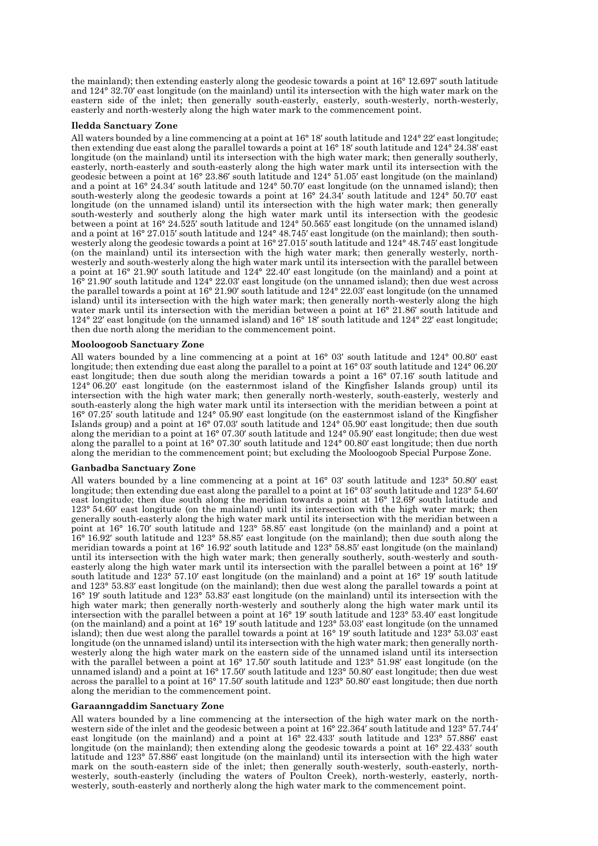the mainland); then extending easterly along the geodesic towards a point at 16° 12.697′ south latitude and 124° 32.70′ east longitude (on the mainland) until its intersection with the high water mark on the eastern side of the inlet; then generally south-easterly, easterly, south-westerly, north-westerly, easterly and north-westerly along the high water mark to the commencement point.

# **Iledda Sanctuary Zone**

All waters bounded by a line commencing at a point at 16° 18′ south latitude and 124° 22′ east longitude; then extending due east along the parallel towards a point at 16° 18′ south latitude and 124° 24.38′ east longitude (on the mainland) until its intersection with the high water mark; then generally southerly, easterly, north-easterly and south-easterly along the high water mark until its intersection with the geodesic between a point at 16° 23.86′ south latitude and 124° 51.05′ east longitude (on the mainland) and a point at 16° 24.34′ south latitude and 124° 50.70′ east longitude (on the unnamed island); then south-westerly along the geodesic towards a point at 16° 24.34′ south latitude and 124° 50.70′ east longitude (on the unnamed island) until its intersection with the high water mark; then generally south-westerly and southerly along the high water mark until its intersection with the geodesic between a point at 16° 24.525′ south latitude and 124° 50.565′ east longitude (on the unnamed island) and a point at 16° 27.015′ south latitude and 124° 48.745′ east longitude (on the mainland); then southwesterly along the geodesic towards a point at 16° 27.015′ south latitude and 124° 48.745′ east longitude (on the mainland) until its intersection with the high water mark; then generally westerly, northwesterly and south-westerly along the high water mark until its intersection with the parallel between a point at 16° 21.90′ south latitude and 124° 22.40′ east longitude (on the mainland) and a point at 16° 21.90′ south latitude and 124° 22.03′ east longitude (on the unnamed island); then due west across the parallel towards a point at 16° 21.90′ south latitude and 124° 22.03′ east longitude (on the unnamed island) until its intersection with the high water mark; then generally north-westerly along the high water mark until its intersection with the meridian between a point at  $16^{\circ}$  21.86' south latitude and 124° 22′ east longitude (on the unnamed island) and 16° 18′ south latitude and 124° 22′ east longitude; then due north along the meridian to the commencement point.

# **Mooloogoob Sanctuary Zone**

All waters bounded by a line commencing at a point at 16° 03′ south latitude and 124° 00.80′ east longitude; then extending due east along the parallel to a point at 16° 03′ south latitude and 124° 06.20′ east longitude; then due south along the meridian towards a point a 16° 07.16′ south latitude and 124° 06.20′ east longitude (on the easternmost island of the Kingfisher Islands group) until its intersection with the high water mark; then generally north-westerly, south-easterly, westerly and south-easterly along the high water mark until its intersection with the meridian between a point at 16° 07.25′ south latitude and 124° 05.90′ east longitude (on the easternmost island of the Kingfisher Islands group) and a point at 16° 07.03′ south latitude and 124° 05.90′ east longitude; then due south along the meridian to a point at 16° 07.30′ south latitude and 124° 05.90′ east longitude; then due west along the parallel to a point at 16° 07.30′ south latitude and 124° 00.80′ east longitude; then due north along the meridian to the commencement point; but excluding the Mooloogoob Special Purpose Zone.

### **Ganbadba Sanctuary Zone**

All waters bounded by a line commencing at a point at 16° 03′ south latitude and 123° 50.80′ east longitude; then extending due east along the parallel to a point at 16° 03′ south latitude and 123° 54.60′ east longitude; then due south along the meridian towards a point at 16° 12.69′ south latitude and 123° 54.60′ east longitude (on the mainland) until its intersection with the high water mark; then generally south-easterly along the high water mark until its intersection with the meridian between a point at 16° 16.70′ south latitude and 123° 58.85′ east longitude (on the mainland) and a point at 16° 16.92′ south latitude and 123° 58.85′ east longitude (on the mainland); then due south along the meridian towards a point at 16° 16.92′ south latitude and 123° 58.85′ east longitude (on the mainland) until its intersection with the high water mark; then generally southerly, south-westerly and southeasterly along the high water mark until its intersection with the parallel between a point at 16° 19′ south latitude and  $123^{\circ}$  57.10′ east longitude (on the mainland) and a point at 16° 19<sup> $\dot{\ }$ </sup> south latitude and 123° 53.83′ east longitude (on the mainland); then due west along the parallel towards a point at 16° 19′ south latitude and 123° 53.83′ east longitude (on the mainland) until its intersection with the high water mark; then generally north-westerly and southerly along the high water mark until its intersection with the parallel between a point at 16° 19′ south latitude and 123° 53.40′ east longitude (on the mainland) and a point at 16° 19′ south latitude and 123° 53.03′ east longitude (on the unnamed island); then due west along the parallel towards a point at 16° 19′ south latitude and 123° 53.03′ east longitude (on the unnamed island) until its intersection with the high water mark; then generally northwesterly along the high water mark on the eastern side of the unnamed island until its intersection with the parallel between a point at 16° 17.50′ south latitude and 123° 51.98′ east longitude (on the unnamed island) and a point at 16° 17.50′ south latitude and 123° 50.80′ east longitude; then due west across the parallel to a point at 16° 17.50′ south latitude and 123° 50.80′ east longitude; then due north along the meridian to the commencement point.

### **Garaanngaddim Sanctuary Zone**

All waters bounded by a line commencing at the intersection of the high water mark on the northwestern side of the inlet and the geodesic between a point at 16° 22.364′ south latitude and 123° 57.744′ east longitude (on the mainland) and a point at 16° 22.433′ south latitude and 123° 57.886′ east longitude (on the mainland); then extending along the geodesic towards a point at 16° 22.433′ south latitude and 123° 57.886′ east longitude (on the mainland) until its intersection with the high water mark on the south-eastern side of the inlet; then generally south-westerly, south-easterly, northwesterly, south-easterly (including the waters of Poulton Creek), north-westerly, easterly, northwesterly, south-easterly and northerly along the high water mark to the commencement point.